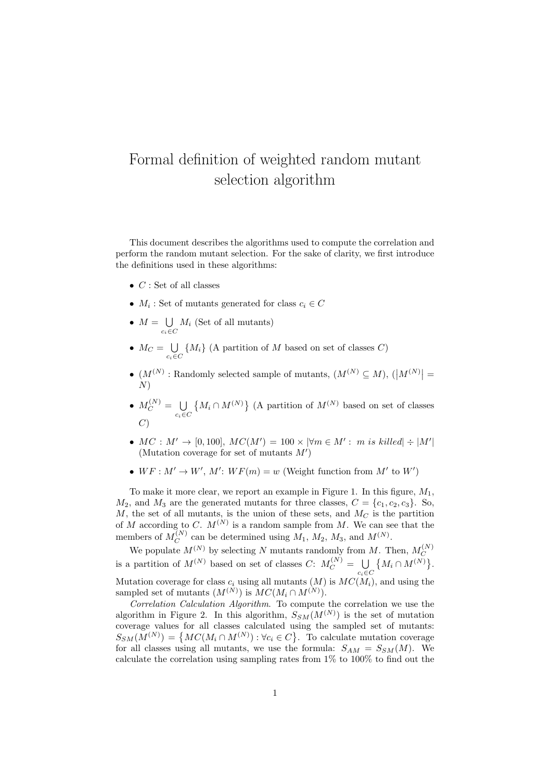## Formal definition of weighted random mutant selection algorithm

This document describes the algorithms used to compute the correlation and perform the random mutant selection. For the sake of clarity, we first introduce the definitions used in these algorithms:

- $C$ : Set of all classes
- $M_i$ : Set of mutants generated for class  $c_i \in C$
- $M = \bigcup$  $c_i \in C$  $M_i$  (Set of all mutants)
- $M_C = \bigcup$  $\bigcup_{c_i \in C} \{M_i\}$  (A partition of M based on set of classes C)
- $(M^{(N)}:$  Randomly selected sample of mutants,  $(M^{(N)} \subseteq M)$ ,  $\left(\left|M^{(N)}\right|=$ N)
- $\bullet$   $M_C^{(N)} = \bigcup$  $c_i \in C$  $\{M_i \cap M^{(N)}\}$  (A partition of  $M^{(N)}$  based on set of classes  $\left( C\right)$
- $MC: M' \to [0, 100], MC(M') = 100 \times |\forall m \in M': m \text{ is killed}| \div |M'|$ (Mutation coverage for set of mutants  $M'$ )
- $WF : M' \to W', M' : WF(m) = w$  (Weight function from M' to W')

To make it more clear, we report an example in Figure 1. In this figure,  $M_1$ ,  $M_2$ , and  $M_3$  are the generated mutants for three classes,  $C = \{c_1, c_2, c_3\}$ . So,  $M$ , the set of all mutants, is the union of these sets, and  $M_C$  is the partition of M according to C.  $M^{(N)}$  is a random sample from M. We can see that the members of  $M_C^{(N)}$  $C^{(N)}_C$  can be determined using  $M_1, M_2, M_3$ , and  $M^{(N)}$ .

We populate  $M^{(N)}$  by selecting N mutants randomly from M. Then,  $M_C^{(N)}$ is a partition of  $M^{(N)}$  based on set of classes  $C: M_C^{(N)} = \bigcup_{\alpha} \{ M_i \cap M^{(N)} \}$  $c_i \in C$  $\left\{M_{i}\cap M^{(N)}\right\}.$ Mutation coverage for class  $c_i$  using all mutants  $(M)$  is  $MC(M_i)$ , and using the sampled set of mutants  $(M^{(N)})$  is  $MC(M_i \cap M^{(N)})$ .

Correlation Calculation Algorithm. To compute the correlation we use the algorithm in Figure 2. In this algorithm,  $S_{SM}(M^{(N)})$  is the set of mutation coverage values for all classes calculated using the sampled set of mutants:  $S_{SM}(M^{(N)}) = \{MC(M_i \cap M^{(N)}) : \forall c_i \in C\}$ . To calculate mutation coverage for all classes using all mutants, we use the formula:  $S_{AM} = S_{SM}(M)$ . We calculate the correlation using sampling rates from 1% to 100% to find out the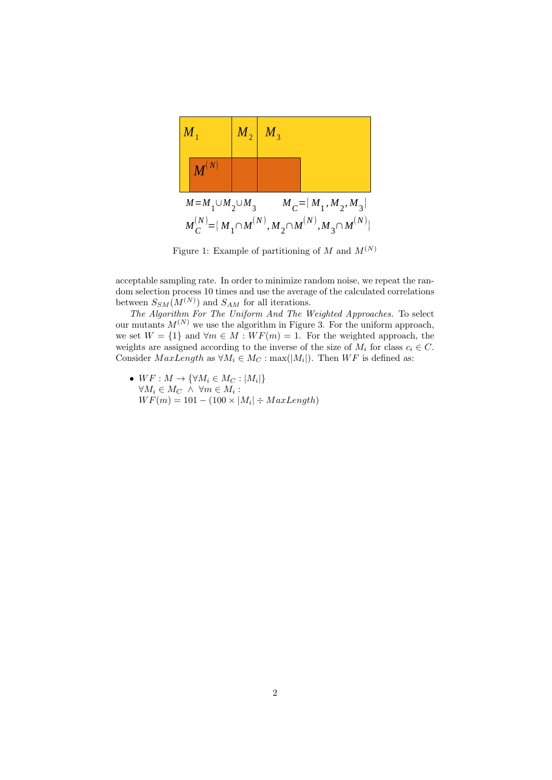

Figure 1: Example of partitioning of  $M$  and  $M^{(N)}$ 

acceptable sampling rate. In order to minimize random noise, we repeat the random selection process 10 times and use the average of the calculated correlations between  $S_{SM}(M^{(N)})$  and  $S_{AM}$  for all iterations.

The Algorithm For The Uniform And The Weighted Approaches. To select our mutants  $M^{(N)}$  we use the algorithm in Figure 3. For the uniform approach, we set  $W = \{1\}$  and  $\forall m \in M : WF(m) = 1$ . For the weighted approach, the weights are assigned according to the inverse of the size of  $M_i$  for class  $c_i \in C$ . Consider  $MaxLength$  as  $\forall M_i \in M_C : max(|M_i|)$ . Then  $WF$  is defined as:

•  $WF: M \to \{\forall M_i \in M_C : |M_i|\}$  $\forall M_i \in M_C \land \forall m \in M_i$ :  $WF(m) = 101 - (100 \times |M_i| \div MaxLength)$